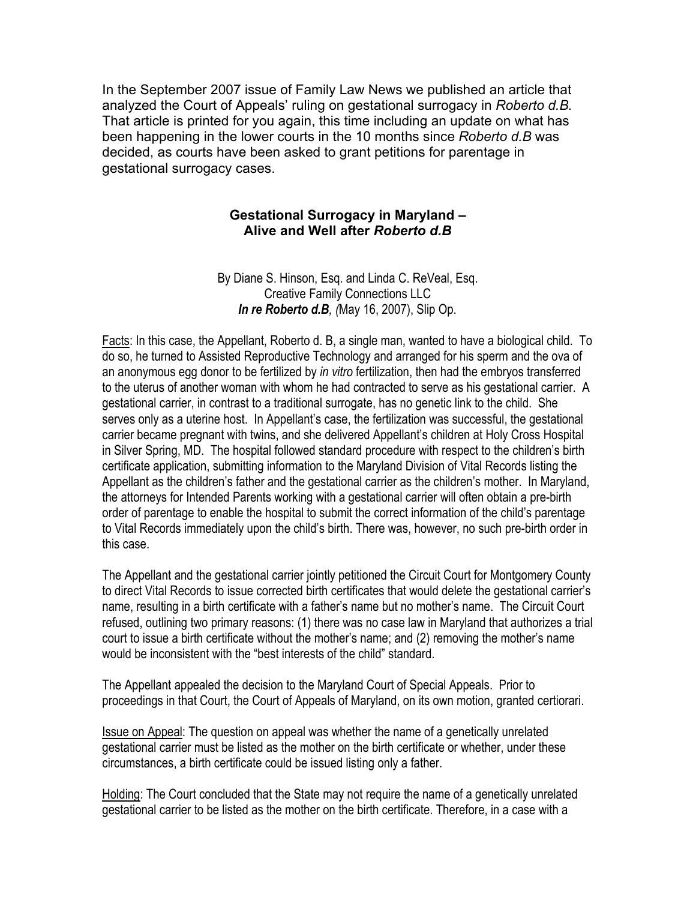In the September 2007 issue of Family Law News we published an article that analyzed the Court of Appeals' ruling on gestational surrogacy in *Roberto d.B.*  That article is printed for you again, this time including an update on what has been happening in the lower courts in the 10 months since *Roberto d.B* was decided, as courts have been asked to grant petitions for parentage in gestational surrogacy cases.

#### **Gestational Surrogacy in Maryland – Alive and Well after** *Roberto d.B*

By Diane S. Hinson, Esq. and Linda C. ReVeal, Esq. Creative Family Connections LLC *In re Roberto d.B, (*May 16, 2007), Slip Op.

Facts: In this case, the Appellant, Roberto d. B, a single man, wanted to have a biological child. To do so, he turned to Assisted Reproductive Technology and arranged for his sperm and the ova of an anonymous egg donor to be fertilized by *in vitro* fertilization, then had the embryos transferred to the uterus of another woman with whom he had contracted to serve as his gestational carrier. A gestational carrier, in contrast to a traditional surrogate, has no genetic link to the child. She serves only as a uterine host. In Appellant's case, the fertilization was successful, the gestational carrier became pregnant with twins, and she delivered Appellant's children at Holy Cross Hospital in Silver Spring, MD. The hospital followed standard procedure with respect to the children's birth certificate application, submitting information to the Maryland Division of Vital Records listing the Appellant as the children's father and the gestational carrier as the children's mother. In Maryland, the attorneys for Intended Parents working with a gestational carrier will often obtain a pre-birth order of parentage to enable the hospital to submit the correct information of the child's parentage to Vital Records immediately upon the child's birth. There was, however, no such pre-birth order in this case.

The Appellant and the gestational carrier jointly petitioned the Circuit Court for Montgomery County to direct Vital Records to issue corrected birth certificates that would delete the gestational carrier's name, resulting in a birth certificate with a father's name but no mother's name. The Circuit Court refused, outlining two primary reasons: (1) there was no case law in Maryland that authorizes a trial court to issue a birth certificate without the mother's name; and (2) removing the mother's name would be inconsistent with the "best interests of the child" standard.

The Appellant appealed the decision to the Maryland Court of Special Appeals. Prior to proceedings in that Court, the Court of Appeals of Maryland, on its own motion, granted certiorari.

Issue on Appeal: The question on appeal was whether the name of a genetically unrelated gestational carrier must be listed as the mother on the birth certificate or whether, under these circumstances, a birth certificate could be issued listing only a father.

Holding: The Court concluded that the State may not require the name of a genetically unrelated gestational carrier to be listed as the mother on the birth certificate. Therefore, in a case with a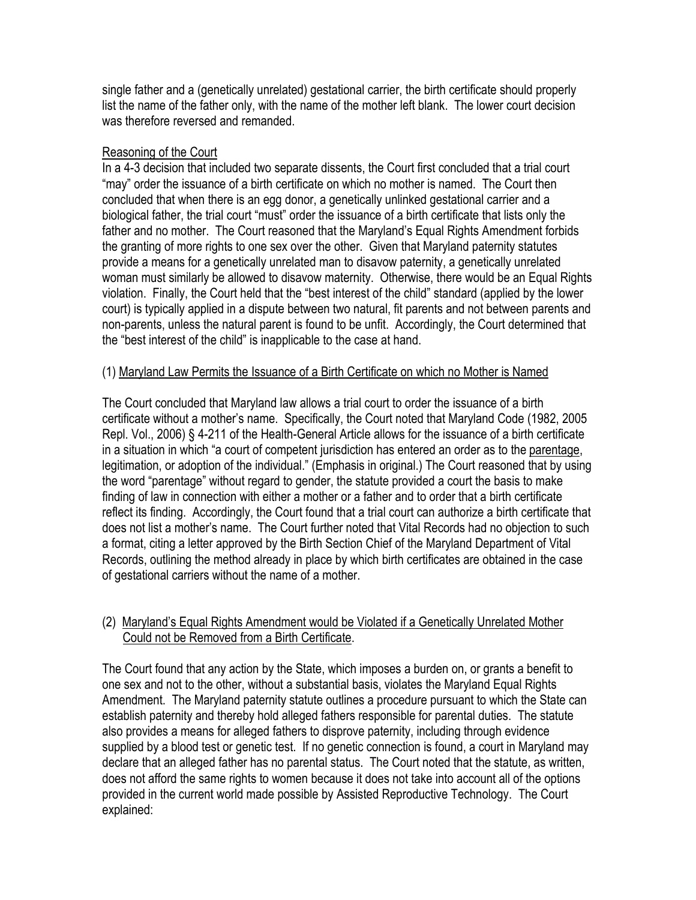single father and a (genetically unrelated) gestational carrier, the birth certificate should properly list the name of the father only, with the name of the mother left blank. The lower court decision was therefore reversed and remanded.

### Reasoning of the Court

In a 4-3 decision that included two separate dissents, the Court first concluded that a trial court "may" order the issuance of a birth certificate on which no mother is named. The Court then concluded that when there is an egg donor, a genetically unlinked gestational carrier and a biological father, the trial court "must" order the issuance of a birth certificate that lists only the father and no mother. The Court reasoned that the Maryland's Equal Rights Amendment forbids the granting of more rights to one sex over the other. Given that Maryland paternity statutes provide a means for a genetically unrelated man to disavow paternity, a genetically unrelated woman must similarly be allowed to disavow maternity. Otherwise, there would be an Equal Rights violation. Finally, the Court held that the "best interest of the child" standard (applied by the lower court) is typically applied in a dispute between two natural, fit parents and not between parents and non-parents, unless the natural parent is found to be unfit. Accordingly, the Court determined that the "best interest of the child" is inapplicable to the case at hand.

### (1) Maryland Law Permits the Issuance of a Birth Certificate on which no Mother is Named

The Court concluded that Maryland law allows a trial court to order the issuance of a birth certificate without a mother's name. Specifically, the Court noted that Maryland Code (1982, 2005 Repl. Vol., 2006) § 4-211 of the Health-General Article allows for the issuance of a birth certificate in a situation in which "a court of competent jurisdiction has entered an order as to the parentage, legitimation, or adoption of the individual." (Emphasis in original.) The Court reasoned that by using the word "parentage" without regard to gender, the statute provided a court the basis to make finding of law in connection with either a mother or a father and to order that a birth certificate reflect its finding. Accordingly, the Court found that a trial court can authorize a birth certificate that does not list a mother's name. The Court further noted that Vital Records had no objection to such a format, citing a letter approved by the Birth Section Chief of the Maryland Department of Vital Records, outlining the method already in place by which birth certificates are obtained in the case of gestational carriers without the name of a mother.

# (2) Maryland's Equal Rights Amendment would be Violated if a Genetically Unrelated Mother Could not be Removed from a Birth Certificate.

The Court found that any action by the State, which imposes a burden on, or grants a benefit to one sex and not to the other, without a substantial basis, violates the Maryland Equal Rights Amendment. The Maryland paternity statute outlines a procedure pursuant to which the State can establish paternity and thereby hold alleged fathers responsible for parental duties. The statute also provides a means for alleged fathers to disprove paternity, including through evidence supplied by a blood test or genetic test. If no genetic connection is found, a court in Maryland may declare that an alleged father has no parental status. The Court noted that the statute, as written, does not afford the same rights to women because it does not take into account all of the options provided in the current world made possible by Assisted Reproductive Technology. The Court explained: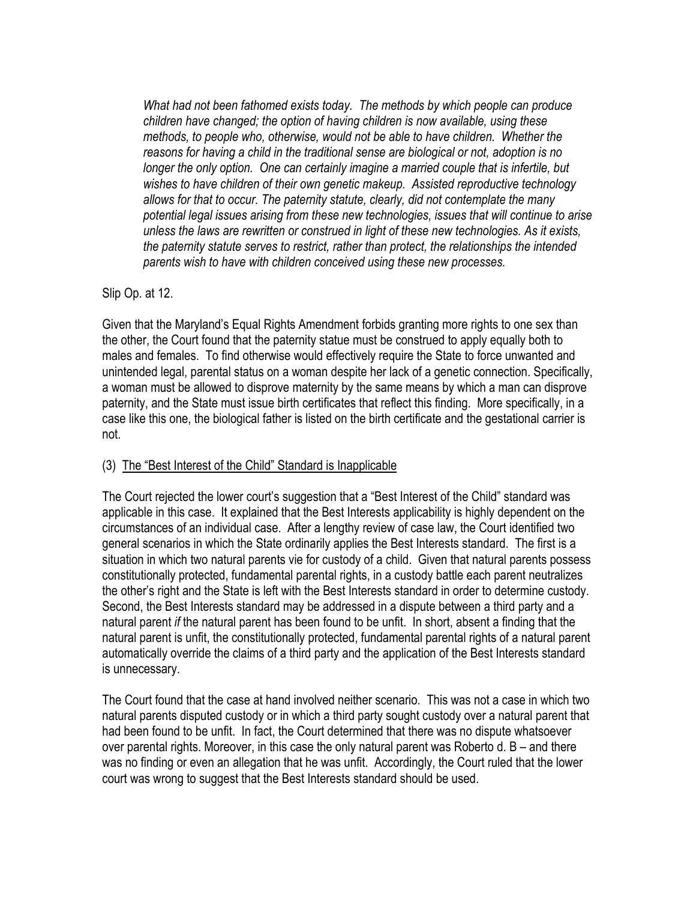*What had not been fathomed exists today. The methods by which people can produce children have changed; the option of having children is now available, using these methods, to people who, otherwise, would not be able to have children. Whether the reasons for having a child in the traditional sense are biological or not, adoption is no*  longer the only option. One can certainly imagine a married couple that is infertile, but *wishes to have children of their own genetic makeup. Assisted reproductive technology allows for that to occur. The paternity statute, clearly, did not contemplate the many potential legal issues arising from these new technologies, issues that will continue to arise unless the laws are rewritten or construed in light of these new technologies. As it exists, the paternity statute serves to restrict, rather than protect, the relationships the intended parents wish to have with children conceived using these new processes.* 

Slip Op. at 12.

Given that the Maryland's Equal Rights Amendment forbids granting more rights to one sex than the other, the Court found that the paternity statue must be construed to apply equally both to males and females. To find otherwise would effectively require the State to force unwanted and unintended legal, parental status on a woman despite her lack of a genetic connection. Specifically, a woman must be allowed to disprove maternity by the same means by which a man can disprove paternity, and the State must issue birth certificates that reflect this finding. More specifically, in a case like this one, the biological father is listed on the birth certificate and the gestational carrier is not.

# (3) The "Best Interest of the Child" Standard is Inapplicable

The Court rejected the lower court's suggestion that a "Best Interest of the Child" standard was applicable in this case. It explained that the Best Interests applicability is highly dependent on the circumstances of an individual case. After a lengthy review of case law, the Court identified two general scenarios in which the State ordinarily applies the Best Interests standard. The first is a situation in which two natural parents vie for custody of a child. Given that natural parents possess constitutionally protected, fundamental parental rights, in a custody battle each parent neutralizes the other's right and the State is left with the Best Interests standard in order to determine custody. Second, the Best Interests standard may be addressed in a dispute between a third party and a natural parent *if* the natural parent has been found to be unfit. In short, absent a finding that the natural parent is unfit, the constitutionally protected, fundamental parental rights of a natural parent automatically override the claims of a third party and the application of the Best Interests standard is unnecessary.

The Court found that the case at hand involved neither scenario. This was not a case in which two natural parents disputed custody or in which a third party sought custody over a natural parent that had been found to be unfit. In fact, the Court determined that there was no dispute whatsoever over parental rights. Moreover, in this case the only natural parent was Roberto d. B – and there was no finding or even an allegation that he was unfit. Accordingly, the Court ruled that the lower court was wrong to suggest that the Best Interests standard should be used.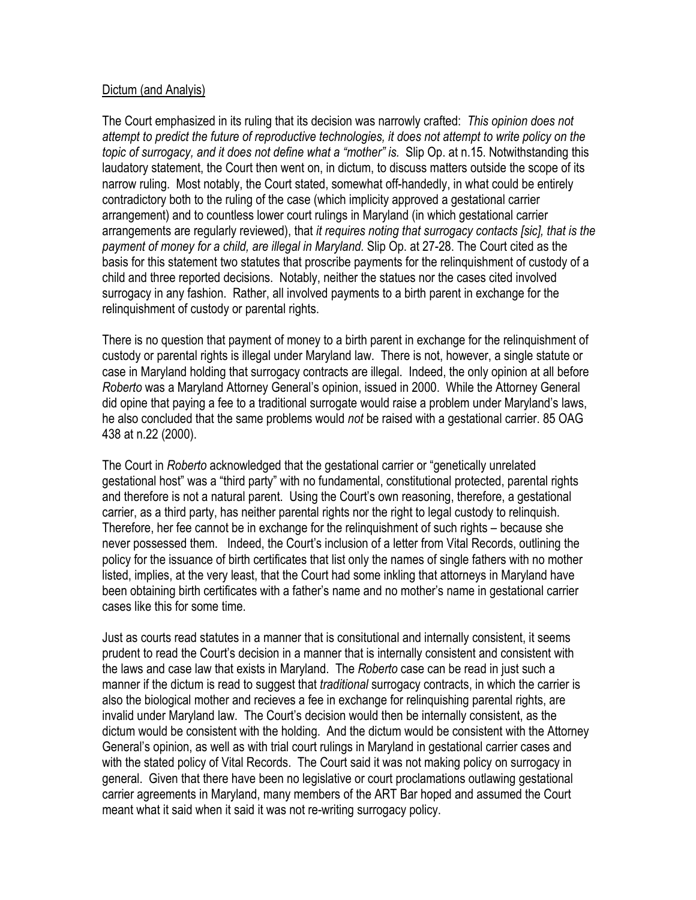#### Dictum (and Analyis)

The Court emphasized in its ruling that its decision was narrowly crafted: *This opinion does not attempt to predict the future of reproductive technologies, it does not attempt to write policy on the topic of surrogacy, and it does not define what a "mother" is.* Slip Op. at n.15. Notwithstanding this laudatory statement, the Court then went on, in dictum, to discuss matters outside the scope of its narrow ruling. Most notably, the Court stated, somewhat off-handedly, in what could be entirely contradictory both to the ruling of the case (which implicity approved a gestational carrier arrangement) and to countless lower court rulings in Maryland (in which gestational carrier arrangements are regularly reviewed), that *it requires noting that surrogacy contacts [sic], that is the payment of money for a child, are illegal in Maryland.* Slip Op. at 27-28. The Court cited as the basis for this statement two statutes that proscribe payments for the relinquishment of custody of a child and three reported decisions. Notably, neither the statues nor the cases cited involved surrogacy in any fashion. Rather, all involved payments to a birth parent in exchange for the relinquishment of custody or parental rights.

There is no question that payment of money to a birth parent in exchange for the relinquishment of custody or parental rights is illegal under Maryland law. There is not, however, a single statute or case in Maryland holding that surrogacy contracts are illegal. Indeed, the only opinion at all before *Roberto* was a Maryland Attorney General's opinion, issued in 2000. While the Attorney General did opine that paying a fee to a traditional surrogate would raise a problem under Maryland's laws, he also concluded that the same problems would *not* be raised with a gestational carrier. 85 OAG 438 at n.22 (2000).

The Court in *Roberto* acknowledged that the gestational carrier or "genetically unrelated gestational host" was a "third party" with no fundamental, constitutional protected, parental rights and therefore is not a natural parent. Using the Court's own reasoning, therefore, a gestational carrier, as a third party, has neither parental rights nor the right to legal custody to relinquish. Therefore, her fee cannot be in exchange for the relinquishment of such rights – because she never possessed them. Indeed, the Court's inclusion of a letter from Vital Records, outlining the policy for the issuance of birth certificates that list only the names of single fathers with no mother listed, implies, at the very least, that the Court had some inkling that attorneys in Maryland have been obtaining birth certificates with a father's name and no mother's name in gestational carrier cases like this for some time.

Just as courts read statutes in a manner that is consitutional and internally consistent, it seems prudent to read the Court's decision in a manner that is internally consistent and consistent with the laws and case law that exists in Maryland. The *Roberto* case can be read in just such a manner if the dictum is read to suggest that *traditional* surrogacy contracts, in which the carrier is also the biological mother and recieves a fee in exchange for relinquishing parental rights, are invalid under Maryland law. The Court's decision would then be internally consistent, as the dictum would be consistent with the holding. And the dictum would be consistent with the Attorney General's opinion, as well as with trial court rulings in Maryland in gestational carrier cases and with the stated policy of Vital Records. The Court said it was not making policy on surrogacy in general. Given that there have been no legislative or court proclamations outlawing gestational carrier agreements in Maryland, many members of the ART Bar hoped and assumed the Court meant what it said when it said it was not re-writing surrogacy policy.